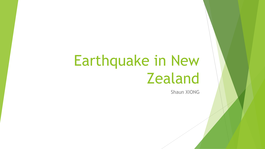# Earthquake in New **Zealand**

**Shaun XIONG**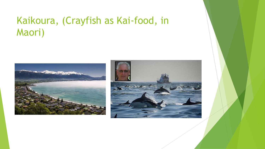## Kaikoura, (Crayfish as Kai-food, in Maori)



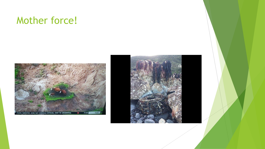### Mother force!



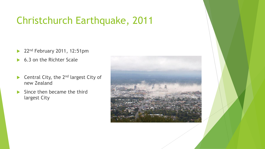## Christchurch Earthquake, 2011

- 22<sup>nd</sup> February 2011, 12:51pm
- ▶ 6.3 on the Richter Scale
- $\blacktriangleright$  Central City, the 2<sup>nd</sup> largest City of new Zealand
- $\blacktriangleright$  Since then became the third largest City

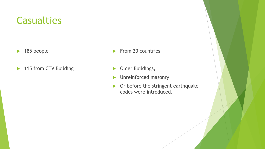#### **Casualties**

- $\blacktriangleright$  185 people
- ▶ 115 from CTV Building
- $\blacktriangleright$  From 20 countries
- **Dider Buildings,**
- **Independent Ones** Unreinforced masonry
- Or before the stringent earthquake codes were introduced.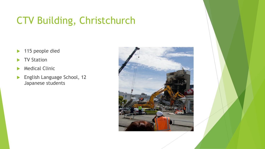# CTV Building, Christchurch

- ▶ 115 people died
- TV Station
- **Medical Clinic**
- **English Language School, 12** Japanese students

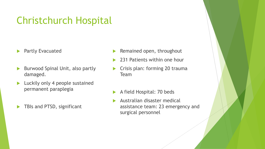### Christchurch Hospital

- **Partly Evacuated**
- Burwood Spinal Unit, also partly damaged.
- **Luckily only 4 people sustained** permanent paraplegia
- TBIs and PTSD, significant
- Remained open, throughout
- 231 Patients within one hour
- Crisis plan: forming 20 trauma Team
- A field Hospital: 70 beds
- Australian disaster medical assistance team: 23 emergency and surgical personnel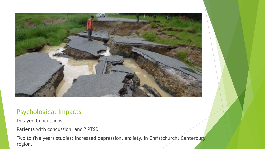

#### Psychological Impacts

Delayed Concussions

Patients with concussion, and ? PTSD

Two to five years studies: Increased depression, anxiety, in Christchurch, Canterbury region.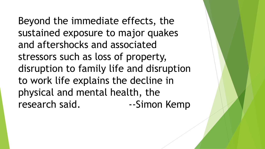Beyond the immediate effects, the sustained exposure to major quakes and aftershocks and associated stressors such as loss of property, disruption to family life and disruption to work life explains the decline in physical and mental health, the research said. The Simon Kemp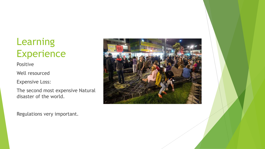# Learning **Experience**

Positive

Well resourced

Expensive Loss:

The second most expensive Natural disaster of the world.

Regulations very important.

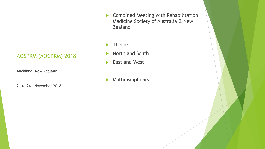#### AOSPRM (AOCPRM) 2018

Auckland, New Zealand

21 to 24<sup>th</sup> November 2018

**Combined Meeting with Rehabilitation** Medicine Society of Australia & New Zealand

Theme:

- North and South
- East and West
- Multidisciplinary